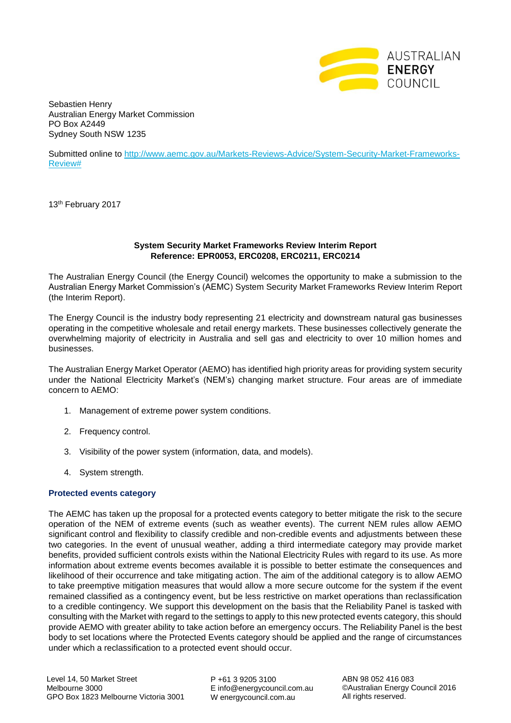

Sebastien Henry Australian Energy Market Commission PO Box A2449 Sydney South NSW 1235

Submitted online to [http://www.aemc.gov.au/Markets-Reviews-Advice/System-Security-Market-Frameworks-](http://www.aemc.gov.au/Markets-Reviews-Advice/System-Security-Market-Frameworks-Review)[Review#](http://www.aemc.gov.au/Markets-Reviews-Advice/System-Security-Market-Frameworks-Review)

13<sup>th</sup> February 2017

## **System Security Market Frameworks Review Interim Report Reference: EPR0053, ERC0208, ERC0211, ERC0214**

The Australian Energy Council (the Energy Council) welcomes the opportunity to make a submission to the Australian Energy Market Commission's (AEMC) System Security Market Frameworks Review Interim Report (the Interim Report).

The Energy Council is the industry body representing 21 electricity and downstream natural gas businesses operating in the competitive wholesale and retail energy markets. These businesses collectively generate the overwhelming majority of electricity in Australia and sell gas and electricity to over 10 million homes and businesses.

The Australian Energy Market Operator (AEMO) has identified high priority areas for providing system security under the National Electricity Market's (NEM's) changing market structure. Four areas are of immediate concern to AEMO:

- 1. Management of extreme power system conditions.
- 2. Frequency control.
- 3. Visibility of the power system (information, data, and models).
- 4. System strength.

### **Protected events category**

The AEMC has taken up the proposal for a protected events category to better mitigate the risk to the secure operation of the NEM of extreme events (such as weather events). The current NEM rules allow AEMO significant control and flexibility to classify credible and non-credible events and adjustments between these two categories. In the event of unusual weather, adding a third intermediate category may provide market benefits, provided sufficient controls exists within the National Electricity Rules with regard to its use. As more information about extreme events becomes available it is possible to better estimate the consequences and likelihood of their occurrence and take mitigating action. The aim of the additional category is to allow AEMO to take preemptive mitigation measures that would allow a more secure outcome for the system if the event remained classified as a contingency event, but be less restrictive on market operations than reclassification to a credible contingency. We support this development on the basis that the Reliability Panel is tasked with consulting with the Market with regard to the settings to apply to this new protected events category, this should provide AEMO with greater ability to take action before an emergency occurs. The Reliability Panel is the best body to set locations where the Protected Events category should be applied and the range of circumstances under which a reclassification to a protected event should occur.

P +61 3 9205 3100 E info@energycouncil.com.au W energycouncil.com.au

ABN 98 052 416 083 ©Australian Energy Council 2016 All rights reserved.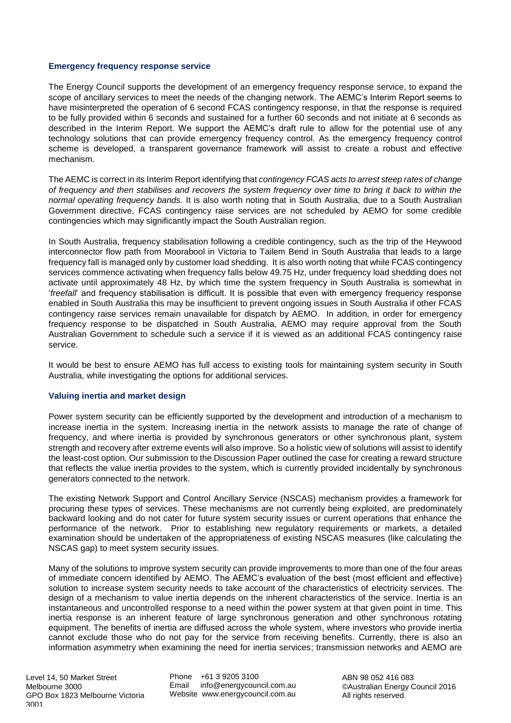### **Emergency frequency response service**

The Energy Council supports the development of an emergency frequency response service, to expand the scope of ancillary services to meet the needs of the changing network. The AEMC's Interim Report seems to have misinterpreted the operation of 6 second FCAS contingency response, in that the response is required to be fully provided within 6 seconds and sustained for a further 60 seconds and not initiate at 6 seconds as described in the Interim Report. We support the AEMC's draft rule to allow for the potential use of any technology solutions that can provide emergency frequency control. As the emergency frequency control scheme is developed, a transparent governance framework will assist to create a robust and effective mechanism.

The AEMC is correct in its Interim Report identifying that *contingency FCAS acts to arrest steep rates of change of frequency and then stabilises and recovers the system frequency over time to bring it back to within the normal operating frequency bands.* It is also worth noting that in South Australia, due to a South Australian Government directive, FCAS contingency raise services are not scheduled by AEMO for some credible contingencies which may significantly impact the South Australian region.

In South Australia, frequency stabilisation following a credible contingency, such as the trip of the Heywood interconnector flow path from Moorabool in Victoria to Tailem Bend in South Australia that leads to a large frequency fall is managed only by customer load shedding. It is also worth noting that while FCAS contingency services commence activating when frequency falls below 49.75 Hz, under frequency load shedding does not activate until approximately 48 Hz, by which time the system frequency in South Australia is somewhat in '*freefall*' and frequency stabilisation is difficult. It is possible that even with emergency frequency response enabled in South Australia this may be insufficient to prevent ongoing issues in South Australia if other FCAS contingency raise services remain unavailable for dispatch by AEMO. In addition, in order for emergency frequency response to be dispatched in South Australia, AEMO may require approval from the South Australian Government to schedule such a service if it is viewed as an additional FCAS contingency raise service.

It would be best to ensure AEMO has full access to existing tools for maintaining system security in South Australia, while investigating the options for additional services.

### **Valuing inertia and market design**

Power system security can be efficiently supported by the development and introduction of a mechanism to increase inertia in the system. Increasing inertia in the network assists to manage the rate of change of frequency, and where inertia is provided by synchronous generators or other synchronous plant, system strength and recovery after extreme events will also improve. So a holistic view of solutions will assist to identify the least-cost option. Our submission to the Discussion Paper outlined the case for creating a reward structure that reflects the value inertia provides to the system, which is currently provided incidentally by synchronous generators connected to the network.

The existing Network Support and Control Ancillary Service (NSCAS) mechanism provides a framework for procuring these types of services. These mechanisms are not currently being exploited, are predominately backward looking and do not cater for future system security issues or current operations that enhance the performance of the network. Prior to establishing new regulatory requirements or markets, a detailed examination should be undertaken of the appropriateness of existing NSCAS measures (like calculating the NSCAS gap) to meet system security issues.

Many of the solutions to improve system security can provide improvements to more than one of the four areas of immediate concern identified by AEMO. The AEMC's evaluation of the best (most efficient and effective) solution to increase system security needs to take account of the characteristics of electricity services. The design of a mechanism to value inertia depends on the inherent characteristics of the service. Inertia is an instantaneous and uncontrolled response to a need within the power system at that given point in time. This inertia response is an inherent feature of large synchronous generation and other synchronous rotating equipment. The benefits of inertia are diffused across the whole system, where investors who provide inertia cannot exclude those who do not pay for the service from receiving benefits. Currently, there is also an information asymmetry when examining the need for inertia services; transmission networks and AEMO are

Phone +61 3 9205 3100 Email info@energycouncil.com.au Website www.energycouncil.com.au

ABN 98 052 416 083 ©Australian Energy Council 2016 All rights reserved.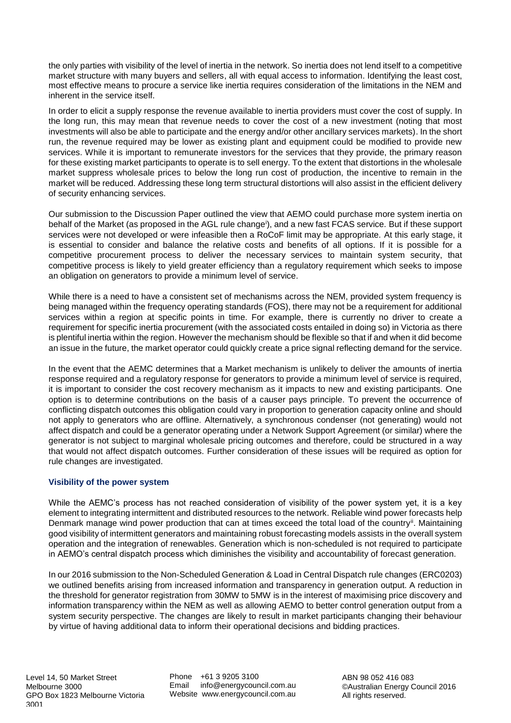the only parties with visibility of the level of inertia in the network. So inertia does not lend itself to a competitive market structure with many buyers and sellers, all with equal access to information. Identifying the least cost, most effective means to procure a service like inertia requires consideration of the limitations in the NEM and inherent in the service itself.

In order to elicit a supply response the revenue available to inertia providers must cover the cost of supply. In the long run, this may mean that revenue needs to cover the cost of a new investment (noting that most investments will also be able to participate and the energy and/or other ancillary services markets). In the short run, the revenue required may be lower as existing plant and equipment could be modified to provide new services. While it is important to remunerate investors for the services that they provide, the primary reason for these existing market participants to operate is to sell energy. To the extent that distortions in the wholesale market suppress wholesale prices to below the long run cost of production, the incentive to remain in the market will be reduced. Addressing these long term structural distortions will also assist in the efficient delivery of security enhancing services.

Our submission to the Discussion Paper outlined the view that AEMO could purchase more system inertia on behalf of the Market (as proposed in the AGL rule change<sup>i</sup>), and a new fast FCAS service. But if these support services were not developed or were infeasible then a RoCoF limit may be appropriate. At this early stage, it is essential to consider and balance the relative costs and benefits of all options. If it is possible for a competitive procurement process to deliver the necessary services to maintain system security, that competitive process is likely to yield greater efficiency than a regulatory requirement which seeks to impose an obligation on generators to provide a minimum level of service.

While there is a need to have a consistent set of mechanisms across the NEM, provided system frequency is being managed within the frequency operating standards (FOS), there may not be a requirement for additional services within a region at specific points in time. For example, there is currently no driver to create a requirement for specific inertia procurement (with the associated costs entailed in doing so) in Victoria as there is plentiful inertia within the region. However the mechanism should be flexible so that if and when it did become an issue in the future, the market operator could quickly create a price signal reflecting demand for the service.

In the event that the AEMC determines that a Market mechanism is unlikely to deliver the amounts of inertia response required and a regulatory response for generators to provide a minimum level of service is required, it is important to consider the cost recovery mechanism as it impacts to new and existing participants. One option is to determine contributions on the basis of a causer pays principle. To prevent the occurrence of conflicting dispatch outcomes this obligation could vary in proportion to generation capacity online and should not apply to generators who are offline. Alternatively, a synchronous condenser (not generating) would not affect dispatch and could be a generator operating under a Network Support Agreement (or similar) where the generator is not subject to marginal wholesale pricing outcomes and therefore, could be structured in a way that would not affect dispatch outcomes. Further consideration of these issues will be required as option for rule changes are investigated.

# **Visibility of the power system**

While the AEMC's process has not reached consideration of visibility of the power system yet, it is a key element to integrating intermittent and distributed resources to the network. Reliable wind power forecasts help Denmark manage wind power production that can at times exceed the total load of the country<sup>ii</sup>. Maintaining good visibility of intermittent generators and maintaining robust forecasting models assists in the overall system operation and the integration of renewables. Generation which is non-scheduled is not required to participate in AEMO's central dispatch process which diminishes the visibility and accountability of forecast generation.

In our 2016 submission to the Non-Scheduled Generation & Load in Central Dispatch rule changes (ERC0203) we outlined benefits arising from increased information and transparency in generation output. A reduction in the threshold for generator registration from 30MW to 5MW is in the interest of maximising price discovery and information transparency within the NEM as well as allowing AEMO to better control generation output from a system security perspective. The changes are likely to result in market participants changing their behaviour by virtue of having additional data to inform their operational decisions and bidding practices.

Phone +61 3 9205 3100 Email info@energycouncil.com.au Website www.energycouncil.com.au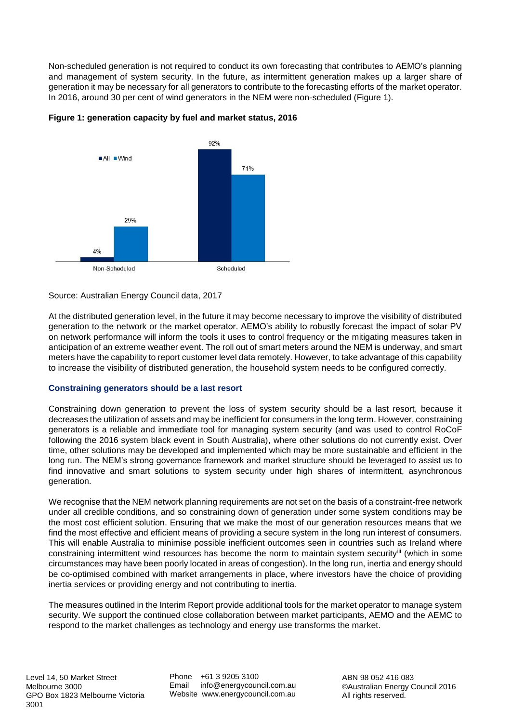Non-scheduled generation is not required to conduct its own forecasting that contributes to AEMO's planning and management of system security. In the future, as intermittent generation makes up a larger share of generation it may be necessary for all generators to contribute to the forecasting efforts of the market operator. In 2016, around 30 per cent of wind generators in the NEM were non-scheduled (Figure 1).



**Figure 1: generation capacity by fuel and market status, 2016**

# Source: Australian Energy Council data, 2017

At the distributed generation level, in the future it may become necessary to improve the visibility of distributed generation to the network or the market operator. AEMO's ability to robustly forecast the impact of solar PV on network performance will inform the tools it uses to control frequency or the mitigating measures taken in anticipation of an extreme weather event. The roll out of smart meters around the NEM is underway, and smart meters have the capability to report customer level data remotely. However, to take advantage of this capability to increase the visibility of distributed generation, the household system needs to be configured correctly.

# **Constraining generators should be a last resort**

Constraining down generation to prevent the loss of system security should be a last resort, because it decreases the utilization of assets and may be inefficient for consumers in the long term. However, constraining generators is a reliable and immediate tool for managing system security (and was used to control RoCoF following the 2016 system black event in South Australia), where other solutions do not currently exist. Over time, other solutions may be developed and implemented which may be more sustainable and efficient in the long run. The NEM's strong governance framework and market structure should be leveraged to assist us to find innovative and smart solutions to system security under high shares of intermittent, asynchronous generation.

We recognise that the NEM network planning requirements are not set on the basis of a constraint-free network under all credible conditions, and so constraining down of generation under some system conditions may be the most cost efficient solution. Ensuring that we make the most of our generation resources means that we find the most effective and efficient means of providing a secure system in the long run interest of consumers. This will enable Australia to minimise possible inefficient outcomes seen in countries such as Ireland where constraining intermittent wind resources has become the norm to maintain system security<sup>iii</sup> (which in some circumstances may have been poorly located in areas of congestion). In the long run, inertia and energy should be co-optimised combined with market arrangements in place, where investors have the choice of providing inertia services or providing energy and not contributing to inertia.

The measures outlined in the Interim Report provide additional tools for the market operator to manage system security. We support the continued close collaboration between market participants, AEMO and the AEMC to respond to the market challenges as technology and energy use transforms the market.

Phone +61 3 9205 3100 Email info@energycouncil.com.au Website www.energycouncil.com.au

ABN 98 052 416 083 ©Australian Energy Council 2016 All rights reserved.